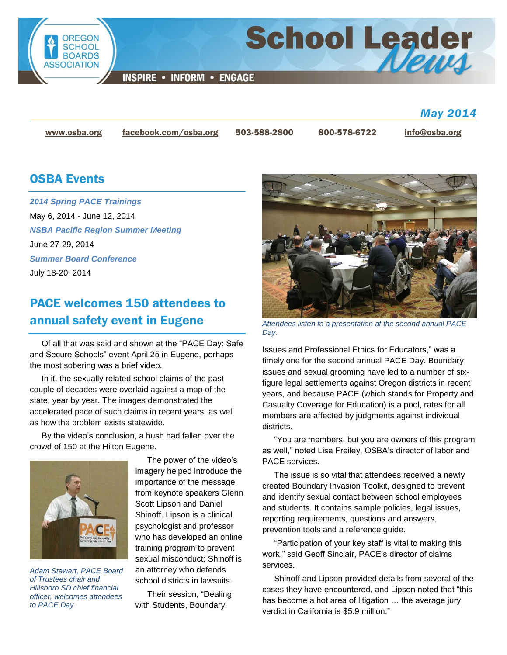

### *May 2014*

[www.osba.org](http://www.osba.org/) [facebook.com/osba.org](http://www.facebook.com/osba.org) 503-588-2800 800-578-6722 [info@osba.org](mailto:info@osba.org)

### OSBA Events

*[2014 Spring PACE Trainings](http://www.osba.org/Calendar/Events/Spring_PACE_trainings_2014.aspx)* May 6, 2014 - June 12, 2014 *[NSBA Pacific Region Summer Meeting](http://www.osba.org/Calendar/Events/NSBA_Pacific_Region_Summer_Meeting-June%202014.aspx)* June 27-29, 2014 *[Summer Board Conference](http://www.osba.org/Calendar/Events/Summer_board_conference-2014.aspx)* July 18-20, 2014

### PACE welcomes 150 attendees to annual safety event in Eugene

Of all that was said and shown at the "PACE Day: Safe and Secure Schools" event April 25 in Eugene, perhaps the most sobering was a brief video.

In it, the sexually related school claims of the past couple of decades were overlaid against a map of the state, year by year. The images demonstrated the accelerated pace of such claims in recent years, as well as how the problem exists statewide.

By the video's conclusion, a hush had fallen over the crowd of 150 at the Hilton Eugene.



*Adam Stewart, PACE Board of Trustees chair and Hillsboro SD chief financial officer, welcomes attendees to PACE Day.*

The power of the video's imagery helped introduce the importance of the message from keynote speakers Glenn Scott Lipson and Daniel Shinoff. Lipson is a clinical psychologist and professor who has developed an online training program to prevent sexual misconduct; Shinoff is an attorney who defends school districts in lawsuits.

Their session, "Dealing with Students, Boundary



*Attendees listen to a presentation at the second annual PACE Day.*

Issues and Professional Ethics for Educators," was a timely one for the second annual PACE Day. Boundary issues and sexual grooming have led to a number of sixfigure legal settlements against Oregon districts in recent years, and because PACE (which stands for Property and Casualty Coverage for Education) is a pool, rates for all members are affected by judgments against individual districts.

"You are members, but you are owners of this program as well," noted Lisa Freiley, OSBA's director of labor and PACE services.

The issue is so vital that attendees received a newly created Boundary Invasion Toolkit, designed to prevent and identify sexual contact between school employees and students. It contains sample policies, legal issues, reporting requirements, questions and answers, prevention tools and a reference guide.

"Participation of your key staff is vital to making this work," said Geoff Sinclair, PACE's director of claims services.

Shinoff and Lipson provided details from several of the cases they have encountered, and Lipson noted that "this has become a hot area of litigation ... the average jury verdict in California is \$5.9 million."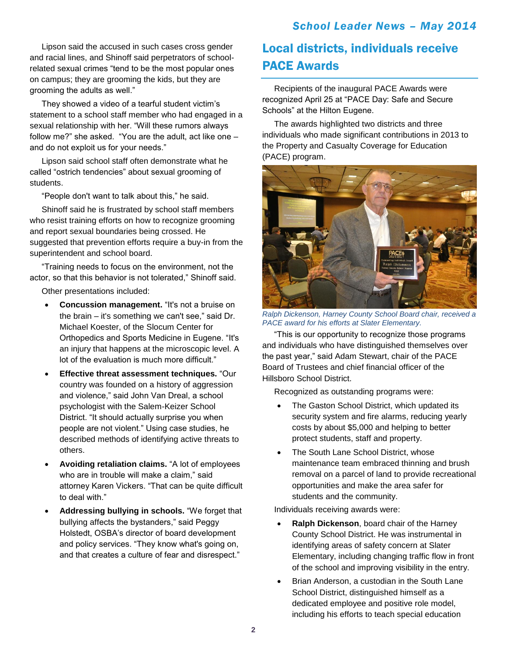Lipson said the accused in such cases cross gender and racial lines, and Shinoff said perpetrators of schoolrelated sexual crimes "tend to be the most popular ones on campus; they are grooming the kids, but they are grooming the adults as well."

They showed a video of a tearful student victim's statement to a school staff member who had engaged in a sexual relationship with her. "Will these rumors always follow me?" she asked. "You are the adult, act like one – and do not exploit us for your needs."

Lipson said school staff often demonstrate what he called "ostrich tendencies" about sexual grooming of students.

"People don't want to talk about this," he said.

Shinoff said he is frustrated by school staff members who resist training efforts on how to recognize grooming and report sexual boundaries being crossed. He suggested that prevention efforts require a buy-in from the superintendent and school board.

"Training needs to focus on the environment, not the actor, so that this behavior is not tolerated," Shinoff said.

Other presentations included:

- **Concussion management.** "It's not a bruise on the brain – it's something we can't see," said Dr. Michael Koester, of the Slocum Center for Orthopedics and Sports Medicine in Eugene. "It's an injury that happens at the microscopic level. A lot of the evaluation is much more difficult."
- **Effective threat assessment techniques.** "Our country was founded on a history of aggression and violence," said John Van Dreal, a school psychologist with the Salem-Keizer School District. "It should actually surprise you when people are not violent." Using case studies, he described methods of identifying active threats to others.
- **Avoiding retaliation claims.** "A lot of employees who are in trouble will make a claim," said attorney Karen Vickers. "That can be quite difficult to deal with."
- **Addressing bullying in schools.** "We forget that bullying affects the bystanders," said Peggy Holstedt, OSBA's director of board development and policy services. "They know what's going on, and that creates a culture of fear and disrespect."

# Local districts, individuals receive PACE Awards

Recipients of the inaugural PACE Awards were recognized April 25 at "PACE Day: Safe and Secure Schools" at the Hilton Eugene.

The awards highlighted two districts and three individuals who made significant contributions in 2013 to the Property and Casualty Coverage for Education (PACE) program.



*Ralph Dickenson, Harney County School Board chair, received a PACE award for his efforts at Slater Elementary.*

"This is our opportunity to recognize those programs and individuals who have distinguished themselves over the past year," said Adam Stewart, chair of the PACE Board of Trustees and chief financial officer of the Hillsboro School District.

Recognized as outstanding programs were:

- The Gaston School District, which updated its security system and fire alarms, reducing yearly costs by about \$5,000 and helping to better protect students, staff and property.
- The South Lane School District, whose maintenance team embraced thinning and brush removal on a parcel of land to provide recreational opportunities and make the area safer for students and the community.

Individuals receiving awards were:

- **Ralph Dickenson**, board chair of the Harney County School District. He was instrumental in identifying areas of safety concern at Slater Elementary, including changing traffic flow in front of the school and improving visibility in the entry.
- Brian Anderson, a custodian in the South Lane School District, distinguished himself as a dedicated employee and positive role model, including his efforts to teach special education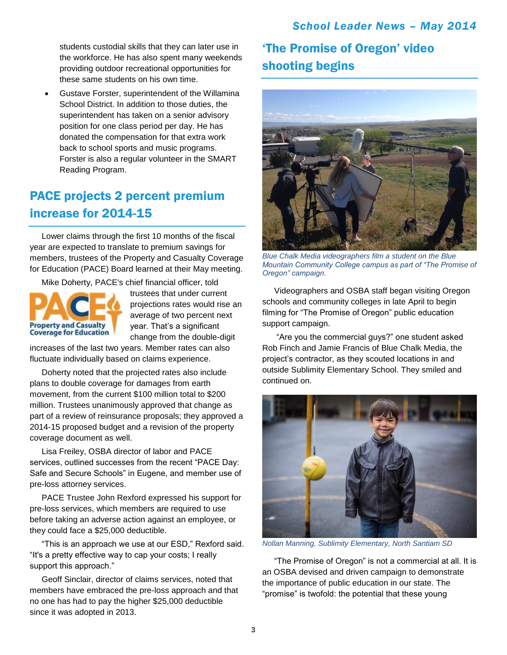students custodial skills that they can later use in the workforce. He has also spent many weekends providing outdoor recreational opportunities for these same students on his own time.

 Gustave Forster, superintendent of the Willamina School District. In addition to those duties, the superintendent has taken on a senior advisory position for one class period per day. He has donated the compensation for that extra work back to school sports and music programs. Forster is also a regular volunteer in the SMART Reading Program.

### PACE projects 2 percent premium increase for 2014-15

Lower claims through the first 10 months of the fiscal year are expected to translate to premium savings for members, trustees of the Property and Casualty Coverage for Education (PACE) Board learned at their May meeting.

Mike Doherty, PACE's chief financial officer, told



trustees that under current projections rates would rise an average of two percent next year. That's a significant change from the double-digit

increases of the last two years. Member rates can also fluctuate individually based on claims experience.

Doherty noted that the projected rates also include plans to double coverage for damages from earth movement, from the current \$100 million total to \$200 million. Trustees unanimously approved that change as part of a review of reinsurance proposals; they approved a 2014-15 proposed budget and a revision of the property coverage document as well.

Lisa Freiley, OSBA director of labor and PACE services, outlined successes from the recent "PACE Day: Safe and Secure Schools" in Eugene, and member use of pre-loss attorney services.

PACE Trustee John Rexford expressed his support for pre-loss services, which members are required to use before taking an adverse action against an employee, or they could face a \$25,000 deductible.

"This is an approach we use at our ESD," Rexford said. "It's a pretty effective way to cap your costs; I really support this approach."

Geoff Sinclair, director of claims services, noted that members have embraced the pre-loss approach and that no one has had to pay the higher \$25,000 deductible since it was adopted in 2013.

## 'The Promise of Oregon' video shooting begins



*Blue Chalk Media videographers film a student on the Blue Mountain Community College campus as part of "The Promise of Oregon" campaign.*

Videographers and OSBA staff began visiting Oregon schools and community colleges in late April to begin filming for "The Promise of Oregon" public education support campaign.

"Are you the commercial guys?" one student asked Rob Finch and Jamie Francis of Blue Chalk Media, the project's contractor, as they scouted locations in and outside Sublimity Elementary School. They smiled and continued on.



*Nollan Manning, Sublimity Elementary, North Santiam SD*

"The Promise of Oregon" is not a commercial at all. It is an OSBA devised and driven campaign to demonstrate the importance of public education in our state. The "promise" is twofold: the potential that these young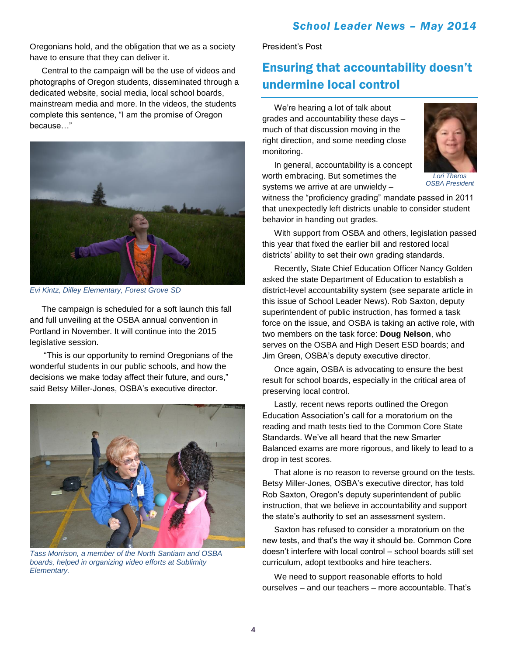Oregonians hold, and the obligation that we as a society have to ensure that they can deliver it.

Central to the campaign will be the use of videos and photographs of Oregon students, disseminated through a dedicated website, social media, local school boards, mainstream media and more. In the videos, the students complete this sentence, "I am the promise of Oregon because…"



*Evi Kintz, Dilley Elementary, Forest Grove SD*

The campaign is scheduled for a soft launch this fall and full unveiling at the OSBA annual convention in Portland in November. It will continue into the 2015 legislative session.

"This is our opportunity to remind Oregonians of the wonderful students in our public schools, and how the decisions we make today affect their future, and ours," said Betsy Miller-Jones, OSBA's executive director.



*Tass Morrison, a member of the North Santiam and OSBA boards, helped in organizing video efforts at Sublimity Elementary.*

President's Post

### Ensuring that accountability doesn't undermine local control

We're hearing a lot of talk about grades and accountability these days – much of that discussion moving in the right direction, and some needing close monitoring.

worth embracing. But sometimes the

behavior in handing out grades.

In general, accountability is a concept



*Lori Theros OSBA President*

systems we arrive at are unwieldy – witness the "proficiency grading" mandate passed in 2011 that unexpectedly left districts unable to consider student

With support from OSBA and others, legislation passed this year that fixed the earlier bill and restored local districts' ability to set their own grading standards.

Recently, State Chief Education Officer Nancy Golden asked the state Department of Education to establish a district-level accountability system (see separate article in this issue of School Leader News). Rob Saxton, deputy superintendent of public instruction, has formed a task force on the issue, and OSBA is taking an active role, with two members on the task force: **Doug Nelson**, who serves on the OSBA and High Desert ESD boards; and Jim Green, OSBA's deputy executive director.

Once again, OSBA is advocating to ensure the best result for school boards, especially in the critical area of preserving local control.

Lastly, recent news reports outlined the Oregon Education Association's call for a moratorium on the reading and math tests tied to the Common Core State Standards. We've all heard that the new Smarter Balanced exams are more rigorous, and likely to lead to a drop in test scores.

That alone is no reason to reverse ground on the tests. Betsy Miller-Jones, OSBA's executive director, has told Rob Saxton, Oregon's deputy superintendent of public instruction, that we believe in accountability and support the state's authority to set an assessment system.

Saxton has refused to consider a moratorium on the new tests, and that's the way it should be. Common Core doesn't interfere with local control – school boards still set curriculum, adopt textbooks and hire teachers.

We need to support reasonable efforts to hold ourselves – and our teachers – more accountable. That's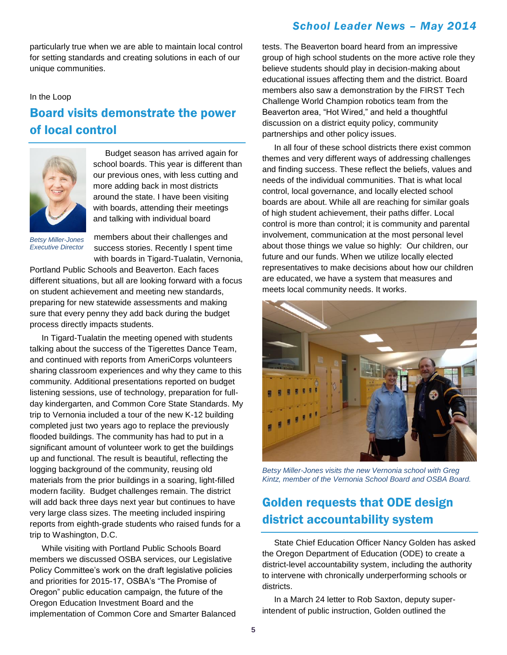#### *School Leader News – May 2014*

particularly true when we are able to maintain local control for setting standards and creating solutions in each of our unique communities.

#### In the Loop

### Board visits demonstrate the power of local control



Budget season has arrived again for school boards. This year is different than our previous ones, with less cutting and more adding back in most districts around the state. I have been visiting with boards, attending their meetings and talking with individual board

*Betsy Miller-Jones Executive Director*

members about their challenges and success stories. Recently I spent time with boards in Tigard-Tualatin, Vernonia,

Portland Public Schools and Beaverton. Each faces different situations, but all are looking forward with a focus on student achievement and meeting new standards, preparing for new statewide assessments and making sure that every penny they add back during the budget process directly impacts students.

In Tigard-Tualatin the meeting opened with students talking about the success of the Tigerettes Dance Team, and continued with reports from AmeriCorps volunteers sharing classroom experiences and why they came to this community. Additional presentations reported on budget listening sessions, use of technology, preparation for fullday kindergarten, and Common Core State Standards. My trip to Vernonia included a tour of the new K-12 building completed just two years ago to replace the previously flooded buildings. The community has had to put in a significant amount of volunteer work to get the buildings up and functional. The result is beautiful, reflecting the logging background of the community, reusing old materials from the prior buildings in a soaring, light-filled modern facility. Budget challenges remain. The district will add back three days next year but continues to have very large class sizes. The meeting included inspiring reports from eighth-grade students who raised funds for a trip to Washington, D.C.

While visiting with Portland Public Schools Board members we discussed OSBA services, our Legislative Policy Committee's work on the draft legislative policies and priorities for 2015-17, OSBA's "The Promise of Oregon" public education campaign, the future of the Oregon Education Investment Board and the implementation of Common Core and Smarter Balanced tests. The Beaverton board heard from an impressive group of high school students on the more active role they believe students should play in decision-making about educational issues affecting them and the district. Board members also saw a demonstration by the FIRST Tech Challenge World Champion robotics team from the Beaverton area, "Hot Wired," and held a thoughtful discussion on a district equity policy, community partnerships and other policy issues.

In all four of these school districts there exist common themes and very different ways of addressing challenges and finding success. These reflect the beliefs, values and needs of the individual communities. That is what local control, local governance, and locally elected school boards are about. While all are reaching for similar goals of high student achievement, their paths differ. Local control is more than control; it is community and parental involvement, communication at the most personal level about those things we value so highly: Our children, our future and our funds. When we utilize locally elected representatives to make decisions about how our children are educated, we have a system that measures and meets local community needs. It works.



*Betsy Miller-Jones visits the new Vernonia school with Greg Kintz, member of the Vernonia School Board and OSBA Board.*

### Golden requests that ODE design district accountability system

State Chief Education Officer Nancy Golden has asked the Oregon Department of Education (ODE) to create a district-level accountability system, including the authority to intervene with chronically underperforming schools or districts.

In a March 24 letter to Rob Saxton, deputy superintendent of public instruction, Golden outlined the